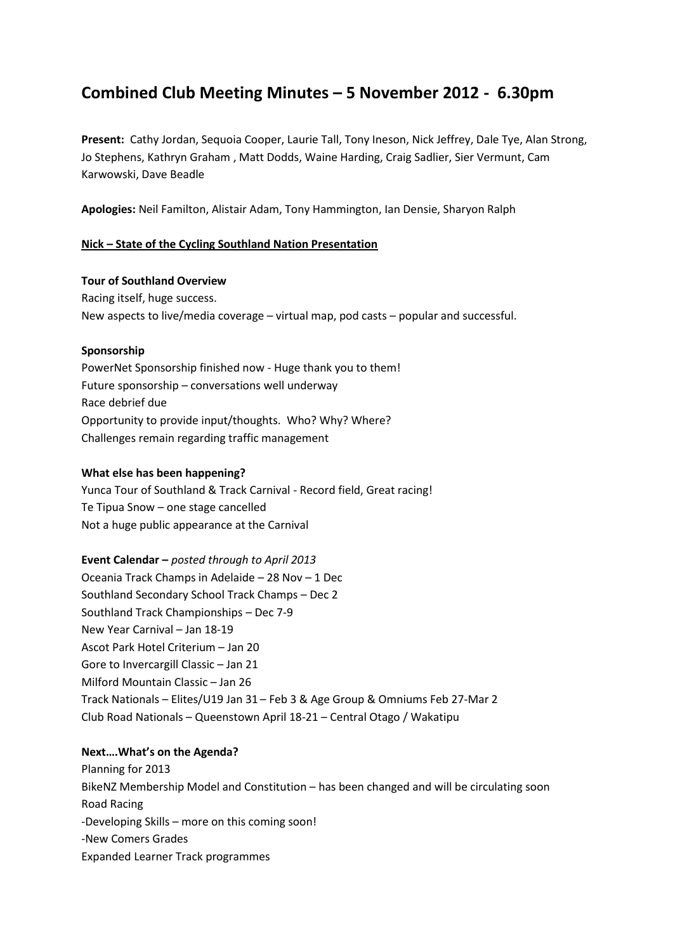# **Combined Club Meeting Minutes – 5 November 2012 - 6.30pm**

**Present:** Cathy Jordan, Sequoia Cooper, Laurie Tall, Tony Ineson, Nick Jeffrey, Dale Tye, Alan Strong, Jo Stephens, Kathryn Graham , Matt Dodds, Waine Harding, Craig Sadlier, Sier Vermunt, Cam Karwowski, Dave Beadle

**Apologies:** Neil Familton, Alistair Adam, Tony Hammington, Ian Densie, Sharyon Ralph

## **Nick – State of the Cycling Southland Nation Presentation**

#### **Tour of Southland Overview**

Racing itself, huge success. New aspects to live/media coverage – virtual map, pod casts – popular and successful.

#### **Sponsorship**

PowerNet Sponsorship finished now - Huge thank you to them! Future sponsorship – conversations well underway Race debrief due Opportunity to provide input/thoughts. Who? Why? Where? Challenges remain regarding traffic management

### **What else has been happening?**

Yunca Tour of Southland & Track Carnival - Record field, Great racing! Te Tipua Snow – one stage cancelled Not a huge public appearance at the Carnival

#### **Event Calendar –** *posted through to April 2013*

Oceania Track Champs in Adelaide – 28 Nov – 1 Dec Southland Secondary School Track Champs – Dec 2 Southland Track Championships – Dec 7-9 New Year Carnival – Jan 18-19 Ascot Park Hotel Criterium – Jan 20 Gore to Invercargill Classic – Jan 21 Milford Mountain Classic – Jan 26 Track Nationals – Elites/U19 Jan 31 – Feb 3 & Age Group & Omniums Feb 27-Mar 2 Club Road Nationals – Queenstown April 18-21 – Central Otago / Wakatipu

#### **Next….What's on the Agenda?**

Planning for 2013 BikeNZ Membership Model and Constitution – has been changed and will be circulating soon Road Racing -Developing Skills – more on this coming soon! -New Comers Grades Expanded Learner Track programmes